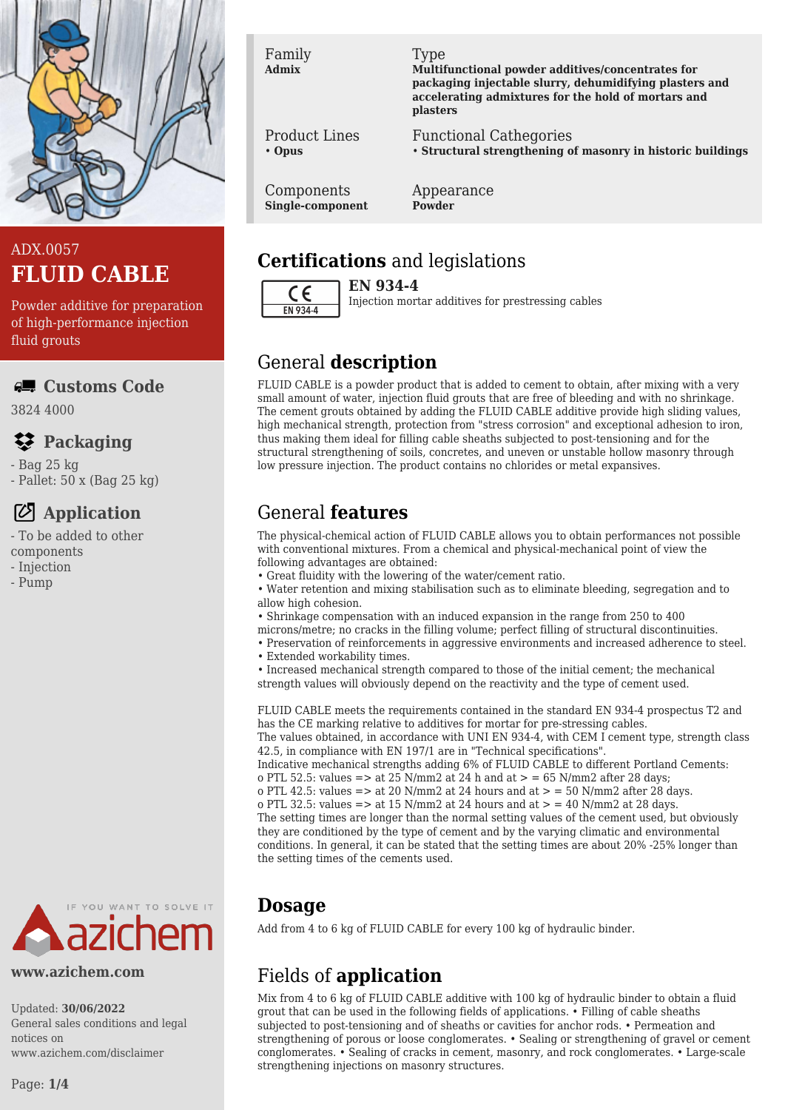

# ADX.0057 **FLUID CABLE**

Powder additive for preparation of high-performance injection fluid grouts

### **Customs Code**

3824 4000

# **Packaging**

- Bag 25 kg

- Pallet: 50 x (Bag 25 kg)

# **Application**

- To be added to other

- components
- Injection - Pump
- 



#### **www.azichem.com**

Updated: **30/06/2022** General sales conditions and legal notices on www.azichem.com/disclaimer

#### Family **Admix**

Type

**Multifunctional powder additives/concentrates for packaging injectable slurry, dehumidifying plasters and accelerating admixtures for the hold of mortars and plasters**

Functional Cathegories • **Structural strengthening of masonry in historic buildings**

Components **Single-component**

Product Lines

• **Opus**

#### Appearance **Powder**

# **Certifications** and legislations

 $\epsilon$ EN 934-4

**EN 934-4** Injection mortar additives for prestressing cables

# General **description**

FLUID CABLE is a powder product that is added to cement to obtain, after mixing with a very small amount of water, injection fluid grouts that are free of bleeding and with no shrinkage. The cement grouts obtained by adding the FLUID CABLE additive provide high sliding values, high mechanical strength, protection from "stress corrosion" and exceptional adhesion to iron, thus making them ideal for filling cable sheaths subjected to post-tensioning and for the structural strengthening of soils, concretes, and uneven or unstable hollow masonry through low pressure injection. The product contains no chlorides or metal expansives.

# General **features**

The physical-chemical action of FLUID CABLE allows you to obtain performances not possible with conventional mixtures. From a chemical and physical-mechanical point of view the following advantages are obtained:

- Great fluidity with the lowering of the water/cement ratio.
- Water retention and mixing stabilisation such as to eliminate bleeding, segregation and to allow high cohesion.
- Shrinkage compensation with an induced expansion in the range from 250 to 400
- microns/metre; no cracks in the filling volume; perfect filling of structural discontinuities.
- Preservation of reinforcements in aggressive environments and increased adherence to steel.
- Extended workability times.
- Increased mechanical strength compared to those of the initial cement; the mechanical strength values will obviously depend on the reactivity and the type of cement used.

FLUID CABLE meets the requirements contained in the standard EN 934-4 prospectus T2 and has the CE marking relative to additives for mortar for pre-stressing cables. The values obtained, in accordance with UNI EN 934-4, with CEM I cement type, strength class 42.5, in compliance with EN 197/1 are in "Technical specifications". Indicative mechanical strengths adding 6% of FLUID CABLE to different Portland Cements: o PTL 52.5: values => at 25 N/mm2 at 24 h and at > = 65 N/mm2 after 28 days; o PTL 42.5: values  $\Rightarrow$  at 20 N/mm2 at 24 hours and at  $>$  = 50 N/mm2 after 28 days. o PTL 32.5: values => at 15 N/mm2 at 24 hours and at > = 40 N/mm2 at 28 days. The setting times are longer than the normal setting values of the cement used, but obviously they are conditioned by the type of cement and by the varying climatic and environmental conditions. In general, it can be stated that the setting times are about 20% -25% longer than the setting times of the cements used.

## **Dosage**

Add from 4 to 6 kg of FLUID CABLE for every 100 kg of hydraulic binder.

# Fields of **application**

Mix from 4 to 6 kg of FLUID CABLE additive with 100 kg of hydraulic binder to obtain a fluid grout that can be used in the following fields of applications. • Filling of cable sheaths subjected to post-tensioning and of sheaths or cavities for anchor rods. • Permeation and strengthening of porous or loose conglomerates. • Sealing or strengthening of gravel or cement conglomerates. • Sealing of cracks in cement, masonry, and rock conglomerates. • Large-scale strengthening injections on masonry structures.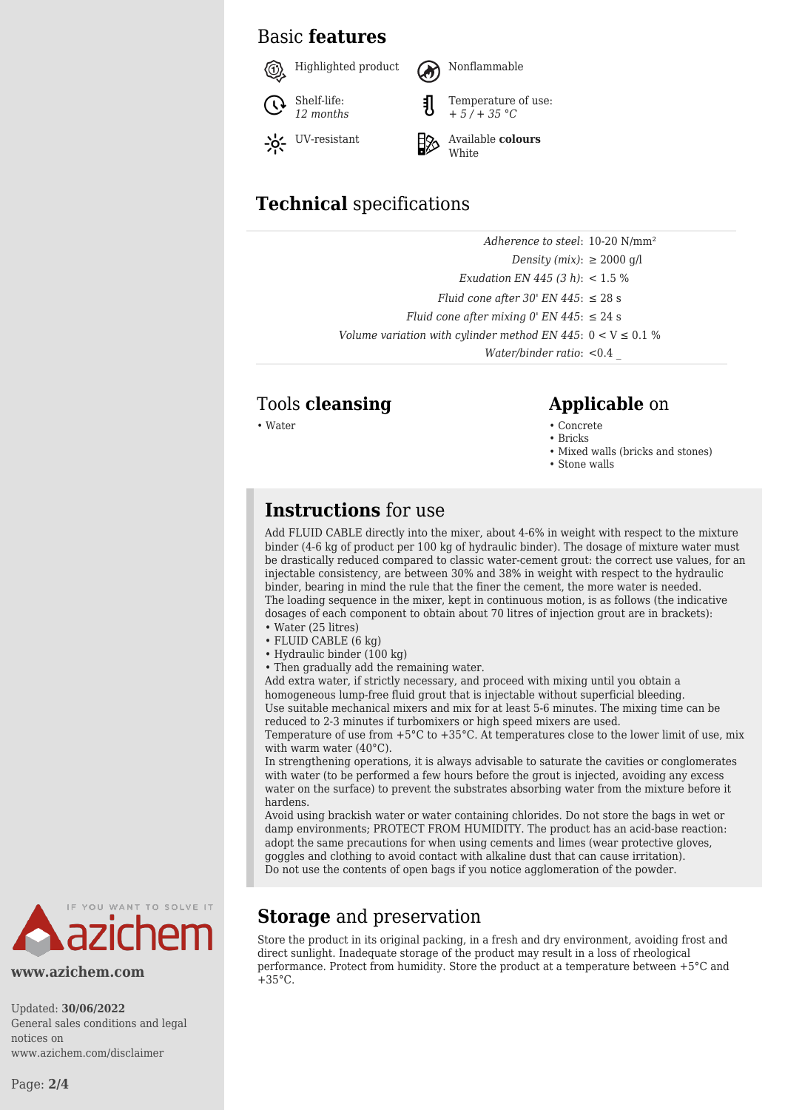## Basic **features**



# **Technical** specifications

| Adherence to steel: 10-20 N/mm <sup>2</sup>                     |  |
|-----------------------------------------------------------------|--|
| Density (mix): $\geq 2000$ g/l                                  |  |
| Exudation EN 445 (3 h): $< 1.5 \%$                              |  |
| Fluid cone after 30' EN 445: $\leq$ 28 s                        |  |
| Fluid cone after mixing 0' EN 445: $\leq$ 24 s                  |  |
| Volume variation with cylinder method EN 445: $0 < V \le 0.1$ % |  |
| <i>Water/binder ratio:</i> $< 0.4$                              |  |

# Tools **cleansing Applicable** on

- Water Concrete Concrete Concrete Concrete Concrete Concrete Concrete Concrete Concrete Concrete Concrete  $\sim$  Concrete Concrete Concrete Concrete Concrete Concrete  $\sim$  Concrete  $\sim$ 
	- Bricks
	- Mixed walls (bricks and stones)
	- Stone walls

## **Instructions** for use

Add FLUID CABLE directly into the mixer, about 4-6% in weight with respect to the mixture binder (4-6 kg of product per 100 kg of hydraulic binder). The dosage of mixture water must be drastically reduced compared to classic water-cement grout: the correct use values, for an injectable consistency, are between 30% and 38% in weight with respect to the hydraulic binder, bearing in mind the rule that the finer the cement, the more water is needed. The loading sequence in the mixer, kept in continuous motion, is as follows (the indicative dosages of each component to obtain about 70 litres of injection grout are in brackets):

- Water (25 litres) • FLUID CABLE (6 kg)
- Hydraulic binder (100 kg)
- Then gradually add the remaining water.

**Storage** and preservation

 $+35^{\circ}$ C.

Add extra water, if strictly necessary, and proceed with mixing until you obtain a homogeneous lump-free fluid grout that is injectable without superficial bleeding. Use suitable mechanical mixers and mix for at least 5-6 minutes. The mixing time can be reduced to 2-3 minutes if turbomixers or high speed mixers are used.

Temperature of use from  $+5^{\circ}C$  to  $+35^{\circ}C$ . At temperatures close to the lower limit of use, mix with warm water (40°C).

In strengthening operations, it is always advisable to saturate the cavities or conglomerates with water (to be performed a few hours before the grout is injected, avoiding any excess water on the surface) to prevent the substrates absorbing water from the mixture before it hardens.

Avoid using brackish water or water containing chlorides. Do not store the bags in wet or damp environments; PROTECT FROM HUMIDITY. The product has an acid-base reaction: adopt the same precautions for when using cements and limes (wear protective gloves, goggles and clothing to avoid contact with alkaline dust that can cause irritation). Do not use the contents of open bags if you notice agglomeration of the powder.

Store the product in its original packing, in a fresh and dry environment, avoiding frost and direct sunlight. Inadequate storage of the product may result in a loss of rheological performance. Protect from humidity. Store the product at a temperature between +5°C and



#### **www.azichem.com**

Updated: **30/06/2022** General sales conditions and legal notices on www.azichem.com/disclaimer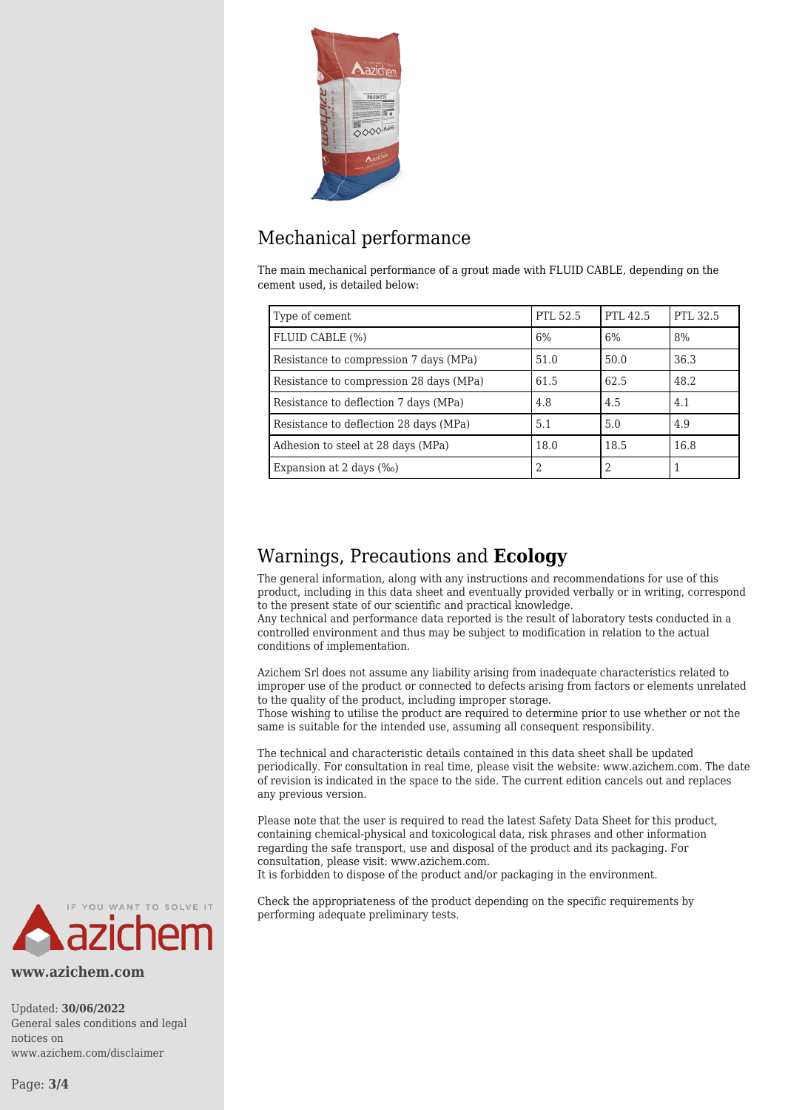

# Mechanical performance

The main mechanical performance of a grout made with FLUID CABLE, depending on the cement used, is detailed below:

| Type of cement                          | PTL 52.5 | PTL 42.5 | PTL 32.5 |
|-----------------------------------------|----------|----------|----------|
| FLUID CABLE (%)                         | 6%       | 6%       | 8%       |
| Resistance to compression 7 days (MPa)  | 51.0     | 50.0     | 36.3     |
| Resistance to compression 28 days (MPa) | 61.5     | 62.5     | 48.2     |
| Resistance to deflection 7 days (MPa)   | 4.8      | 4.5      | 4.1      |
| Resistance to deflection 28 days (MPa)  | 5.1      | 5.0      | 4.9      |
| Adhesion to steel at 28 days (MPa)      | 18.0     | 18.5     | 16.8     |
| Expansion at 2 days $(\%$               | 2        | 2        |          |

## Warnings, Precautions and **Ecology**

The general information, along with any instructions and recommendations for use of this product, including in this data sheet and eventually provided verbally or in writing, correspond to the present state of our scientific and practical knowledge.

Any technical and performance data reported is the result of laboratory tests conducted in a controlled environment and thus may be subject to modification in relation to the actual conditions of implementation.

Azichem Srl does not assume any liability arising from inadequate characteristics related to improper use of the product or connected to defects arising from factors or elements unrelated to the quality of the product, including improper storage.

Those wishing to utilise the product are required to determine prior to use whether or not the same is suitable for the intended use, assuming all consequent responsibility.

The technical and characteristic details contained in this data sheet shall be updated periodically. For consultation in real time, please visit the website: www.azichem.com. The date of revision is indicated in the space to the side. The current edition cancels out and replaces any previous version.

Please note that the user is required to read the latest Safety Data Sheet for this product, containing chemical-physical and toxicological data, risk phrases and other information regarding the safe transport, use and disposal of the product and its packaging. For consultation, please visit: www.azichem.com.

It is forbidden to dispose of the product and/or packaging in the environment.

Check the appropriateness of the product depending on the specific requirements by performing adequate preliminary tests.



**www.azichem.com**

Updated: **30/06/2022** General sales conditions and legal notices on www.azichem.com/disclaimer